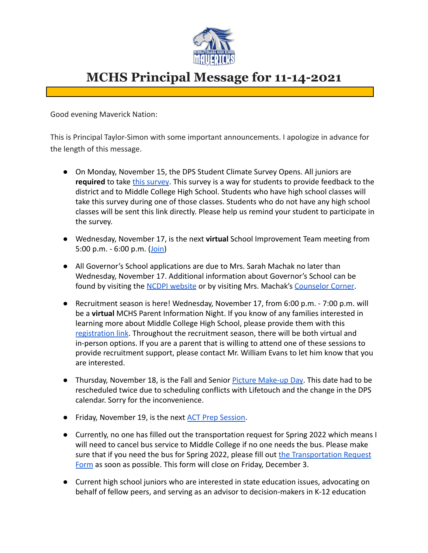

## **MCHS Principal Message for 11-14-2021**

Good evening Maverick Nation:

This is Principal Taylor-Simon with some important announcements. I apologize in advance for the length of this message.

- On Monday, November 15, the DPS Student Climate Survey Opens. All juniors are **required** to take [this survey](https://survey.k12insight.com/r/MRrYIR). This survey is a way for students to provide feedback to the district and to Middle College High School. Students who have high school classes will take this survey during one of those classes. Students who do not have any high school classes will be sent this link directly. Please help us remind your student to participate in the survey.
- Wednesday, November 17, is the next **virtual** School Improvement Team meeting from 5:00 p.m.  $-6:00$  p.m.  $(loin)$
- All Governor's School applications are due to Mrs. Sarah Machak no later than Wednesday, November 17. Additional information about Governor's School can be found by visiting the [NCDPI website](https://www.dpi.nc.gov/students-families/enhanced-opportunities/governors-school-north-carolina) or by visiting Mrs. Machak's [Counselor Corner.](https://www.dpsnc.net/domain/2063)
- Recruitment season is here! Wednesday, November 17, from 6:00 p.m. 7:00 p.m. will be a **virtual** MCHS Parent Information Night. If you know of any families interested in learning more about Middle College High School, please provide them with this [registration link.](https://docs.google.com/forms/d/e/1FAIpQLScvybcLRCuh50eW_oAyD095QDej6LZocsx3GqqIbxZMp_9StA/viewform) Throughout the recruitment season, there will be both virtual and in-person options. If you are a parent that is willing to attend one of these sessions to provide recruitment support, please contact Mr. William Evans to let him know that you are interested.
- Thursday, November 18, is the Fall and Senior Picture [Make-up Day.](https://www.dpsnc.net/site/default.aspx?PageType=3&DomainID=53&ModuleInstanceID=2903&ViewID=6446EE88-D30C-497E-9316-3F8874B3E108&RenderLoc=0&FlexDataID=56088&PageID=99) This date had to be rescheduled twice due to scheduling conflicts with Lifetouch and the change in the DPS calendar. Sorry for the inconvenience.
- Friday, November 19, is the next [ACT Prep Session](https://docs.google.com/document/d/1ojQzJkokVwLOMmmbK70R3r08byUcantP9z8D8pij168/edit?usp=sharing).
- Currently, no one has filled out the transportation request for Spring 2022 which means I will need to cancel bus service to Middle College if no one needs the bus. Please make sure that if you need the bus for Spring 2022, please fill out [the Transportation Request](https://docs.google.com/forms/d/e/1FAIpQLSe7EIgw8Q_Om06_LvLL9c1DKvOYL-GQdZ-b0sfY8HQ6u_rbQA/viewform) [Form](https://docs.google.com/forms/d/e/1FAIpQLSe7EIgw8Q_Om06_LvLL9c1DKvOYL-GQdZ-b0sfY8HQ6u_rbQA/viewform) as soon as possible. This form will close on Friday, December 3.
- Current high school juniors who are interested in state education issues, advocating on behalf of fellow peers, and serving as an advisor to decision-makers in K-12 education